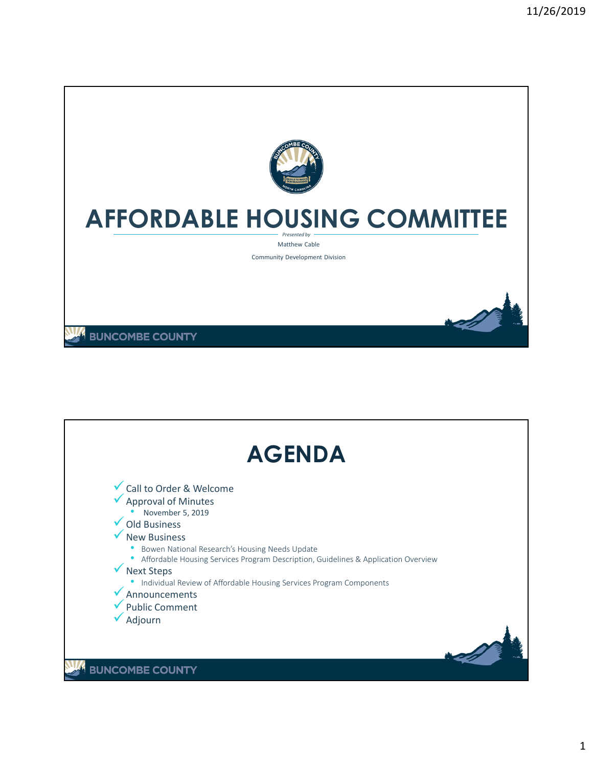

## **AFFORDABLE HOUSING COMMITTEE**

*Presented by* Matthew Cable

Community Development Division

**BUNCOMBE COUNTY** 

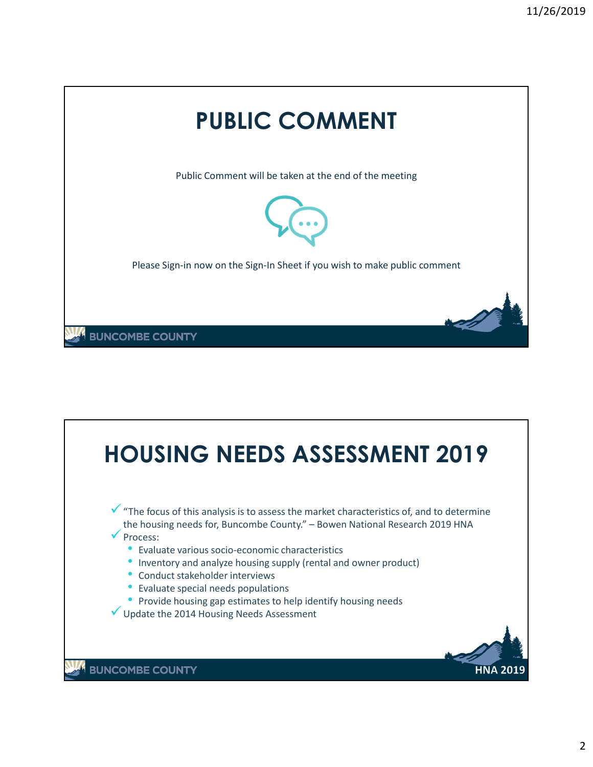

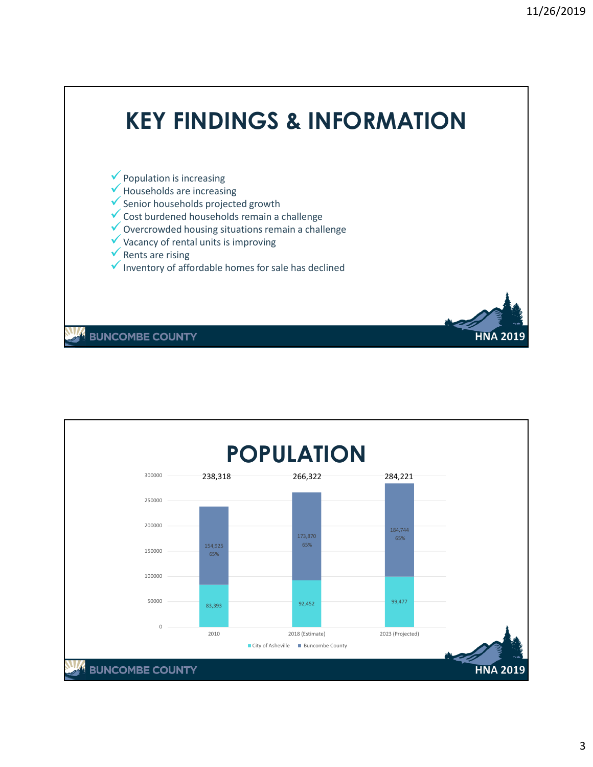

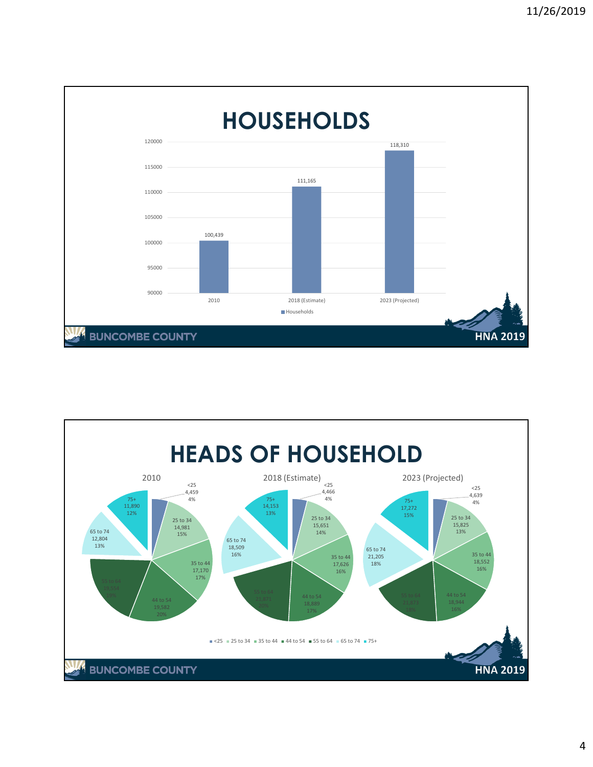

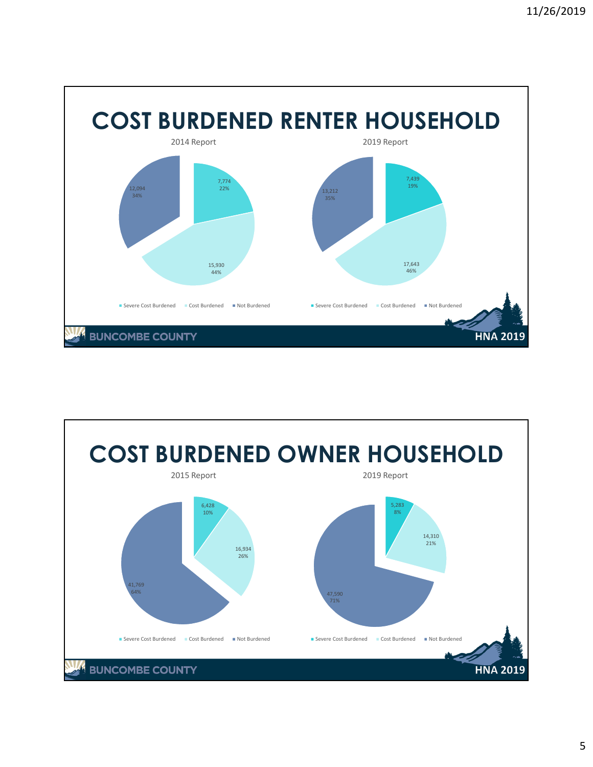

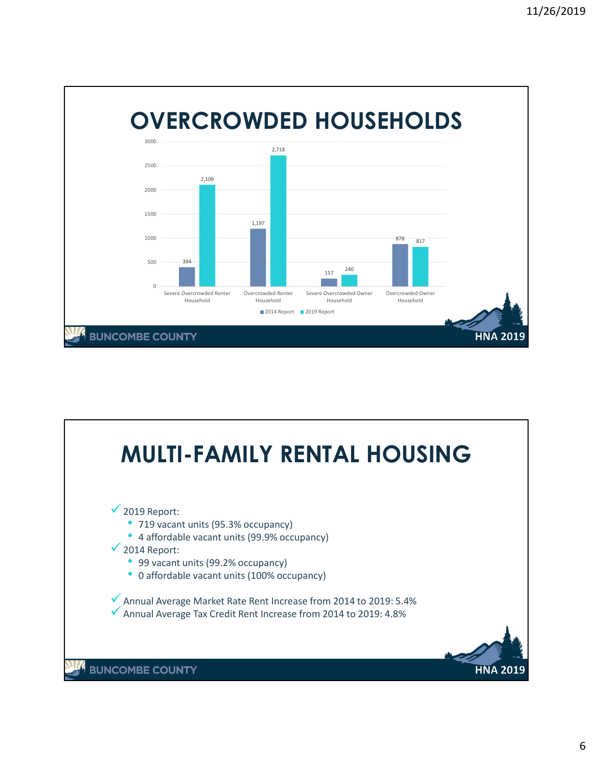

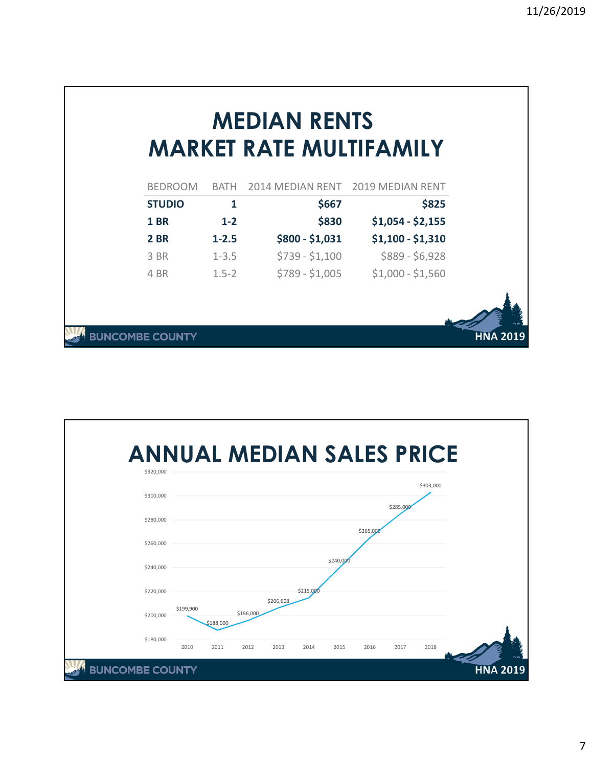|                       |                               | <b>MEDIAN RENTS</b>     |                                   |                 |
|-----------------------|-------------------------------|-------------------------|-----------------------------------|-----------------|
|                       |                               | MARKET RATE MULTIFAMILY |                                   |                 |
|                       | <b>BEDROOM</b><br><b>BATH</b> |                         | 2014 MEDIAN RENT 2019 MEDIAN RENT |                 |
| <b>STUDIO</b>         | 1                             | \$667                   | \$825                             |                 |
| <b>1 BR</b>           | $1 - 2$                       | \$830                   | $$1,054 - $2,155$                 |                 |
| <b>2 BR</b>           | $1 - 2.5$                     | $$800 - $1,031$         | $$1,100 - $1,310$                 |                 |
| 3 BR                  | $1 - 3.5$                     | $$739 - $1,100$         | $$889 - $6,928$                   |                 |
| 4 BR                  | $1.5 - 2$                     | \$789 - \$1,005         | $$1,000 - $1,560$                 |                 |
|                       |                               |                         |                                   |                 |
| <b>JNCOMBE COUNTY</b> |                               |                         |                                   | <b>HNA 2019</b> |

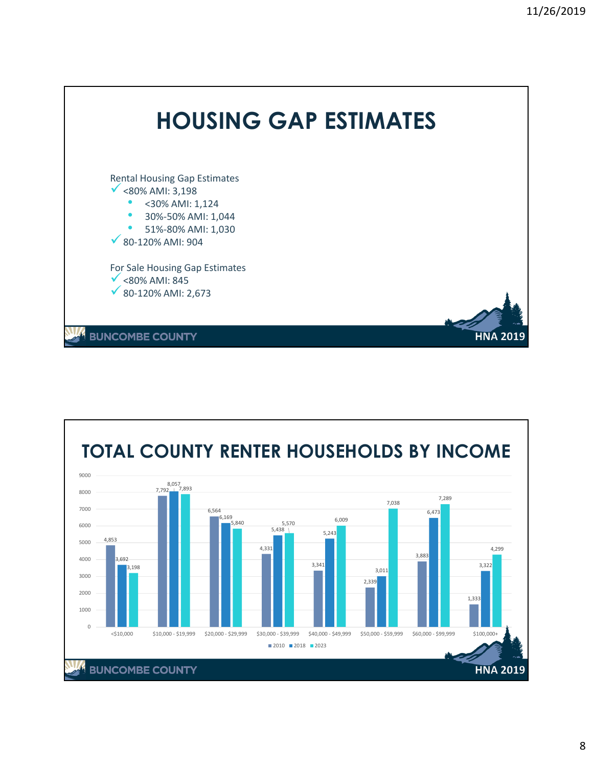

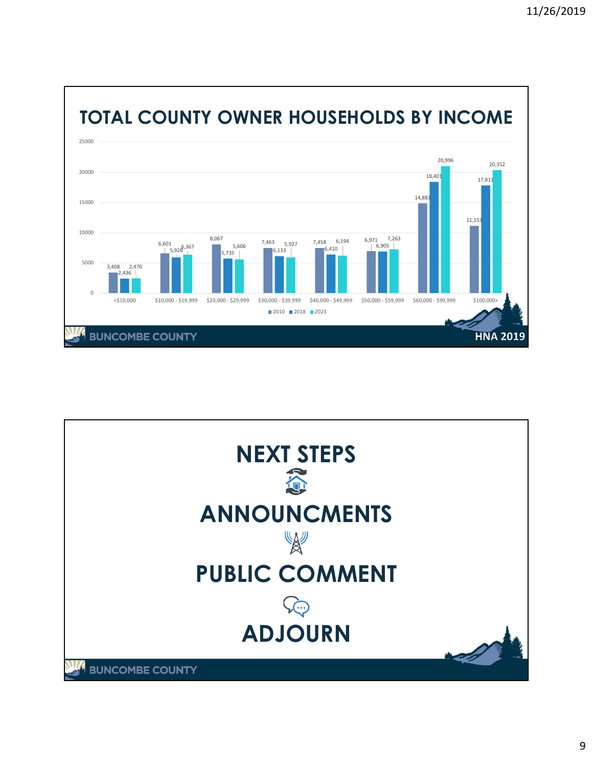

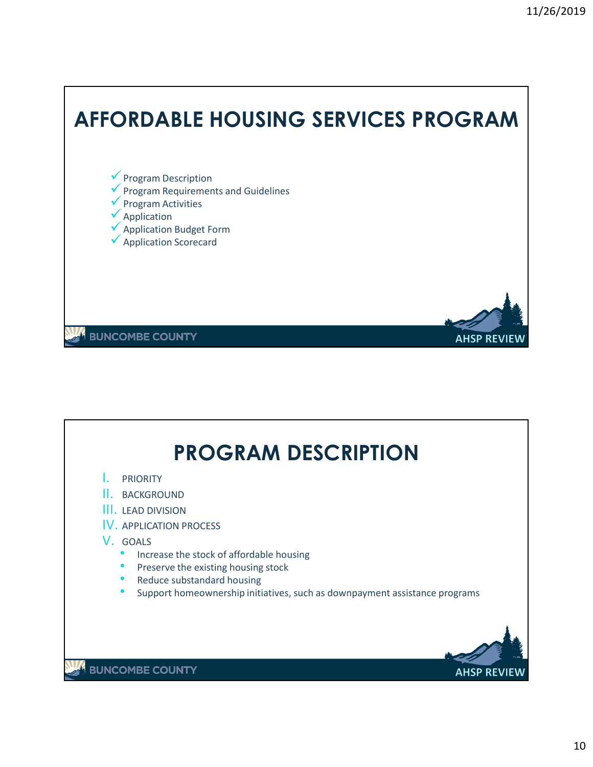

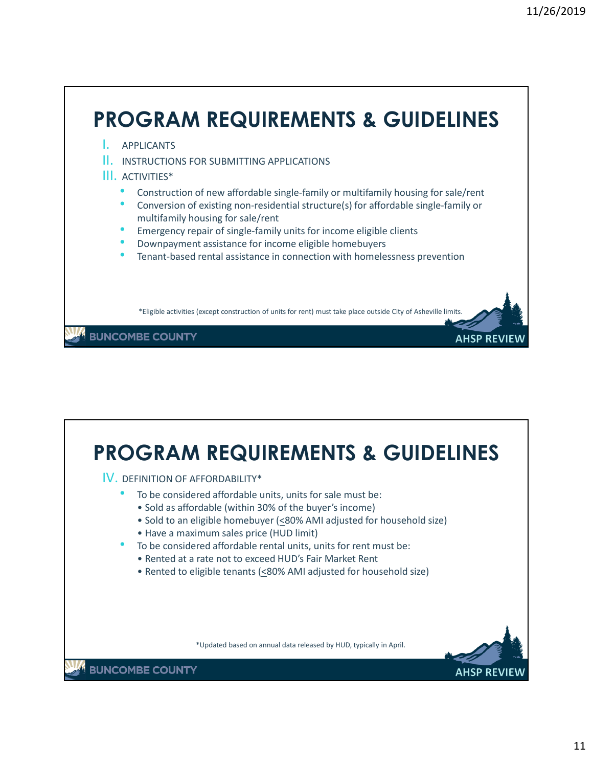

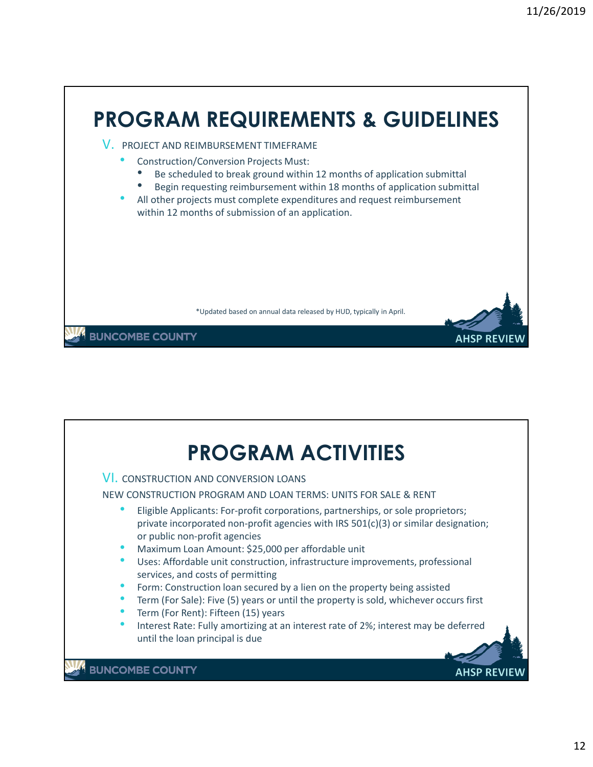

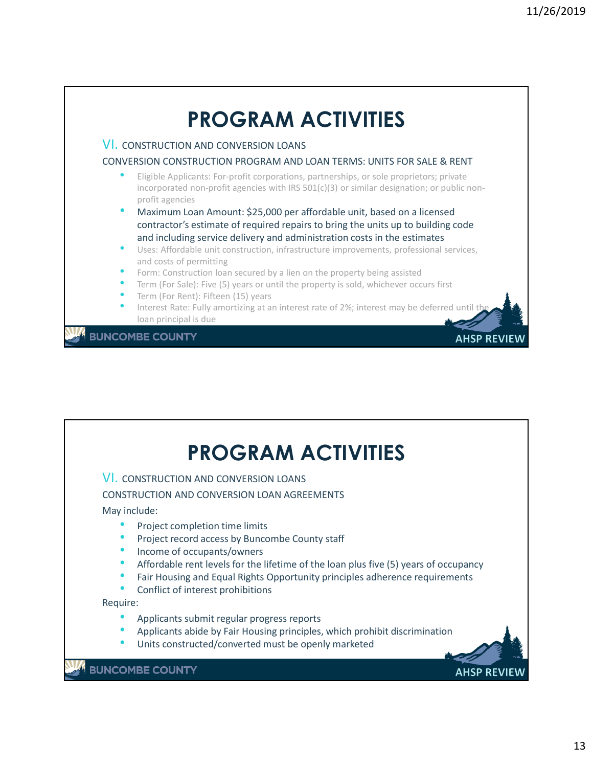

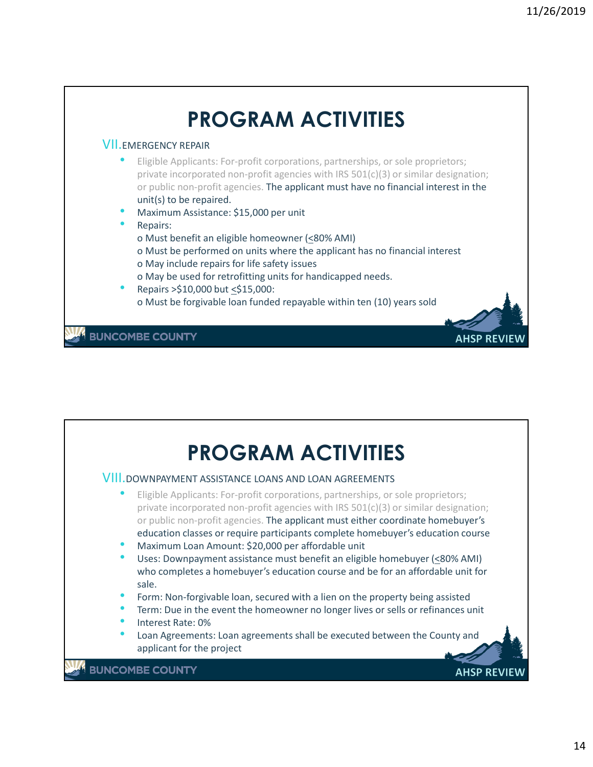

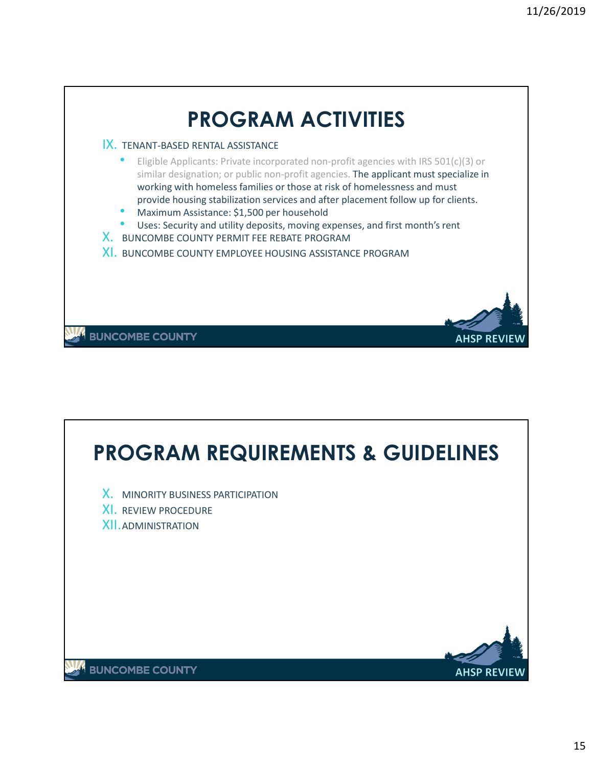